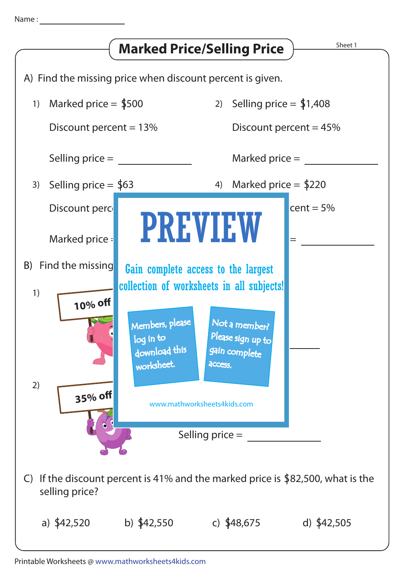